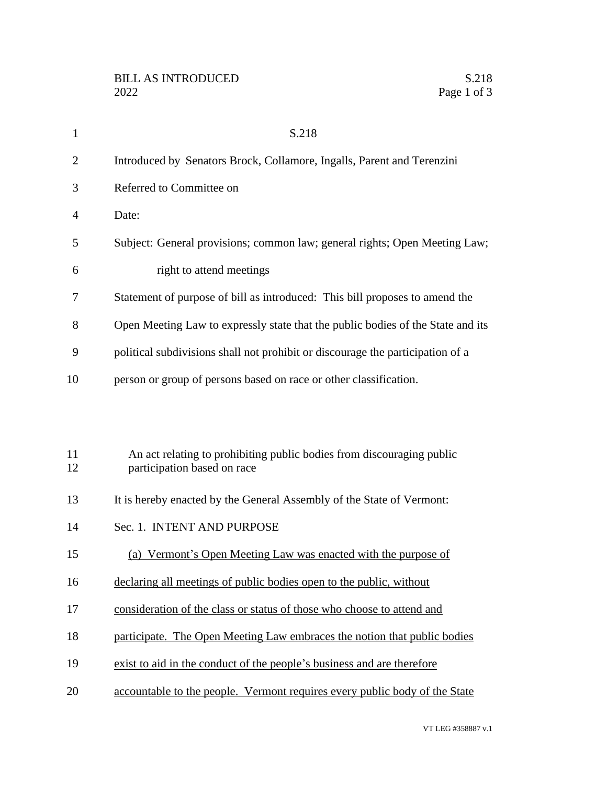| $\mathbf{1}$   | S.218                                                                                                |
|----------------|------------------------------------------------------------------------------------------------------|
| $\overline{2}$ | Introduced by Senators Brock, Collamore, Ingalls, Parent and Terenzini                               |
| 3              | Referred to Committee on                                                                             |
| 4              | Date:                                                                                                |
| 5              | Subject: General provisions; common law; general rights; Open Meeting Law;                           |
| 6              | right to attend meetings                                                                             |
| 7              | Statement of purpose of bill as introduced: This bill proposes to amend the                          |
| 8              | Open Meeting Law to expressly state that the public bodies of the State and its                      |
| 9              | political subdivisions shall not prohibit or discourage the participation of a                       |
| 10             | person or group of persons based on race or other classification.                                    |
|                |                                                                                                      |
|                |                                                                                                      |
| 11<br>12       | An act relating to prohibiting public bodies from discouraging public<br>participation based on race |
| 13             | It is hereby enacted by the General Assembly of the State of Vermont:                                |
| 14             | Sec. 1. INTENT AND PURPOSE                                                                           |
| 15             | (a) Vermont's Open Meeting Law was enacted with the purpose of                                       |
| 16             | declaring all meetings of public bodies open to the public, without                                  |
| 17             | consideration of the class or status of those who choose to attend and                               |
| 18             | participate. The Open Meeting Law embraces the notion that public bodies                             |
| 19             | exist to aid in the conduct of the people's business and are therefore                               |
| 20             | accountable to the people. Vermont requires every public body of the State                           |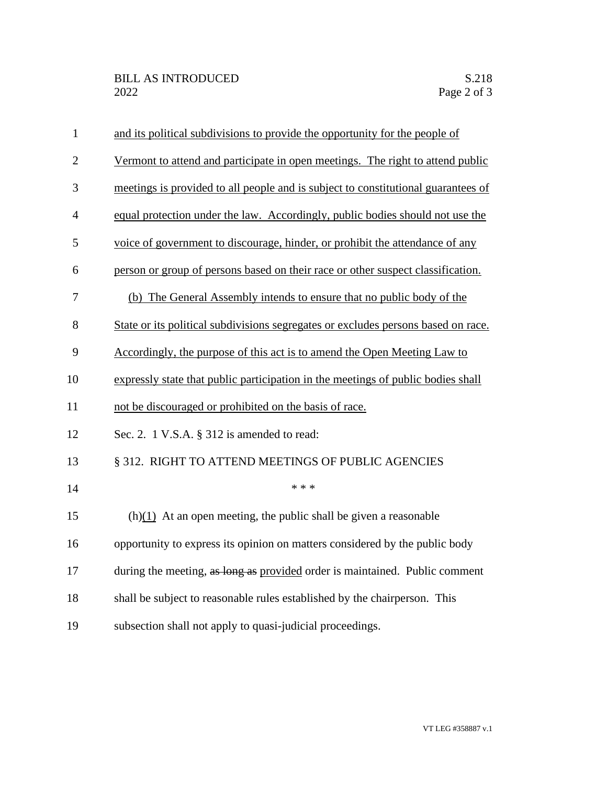| $\mathbf{1}$     | and its political subdivisions to provide the opportunity for the people of       |
|------------------|-----------------------------------------------------------------------------------|
| $\overline{2}$   | Vermont to attend and participate in open meetings. The right to attend public    |
| 3                | meetings is provided to all people and is subject to constitutional guarantees of |
| $\overline{4}$   | equal protection under the law. Accordingly, public bodies should not use the     |
| 5                | voice of government to discourage, hinder, or prohibit the attendance of any      |
| 6                | person or group of persons based on their race or other suspect classification.   |
| $\boldsymbol{7}$ | (b) The General Assembly intends to ensure that no public body of the             |
| 8                | State or its political subdivisions segregates or excludes persons based on race. |
| 9                | Accordingly, the purpose of this act is to amend the Open Meeting Law to          |
| 10               | expressly state that public participation in the meetings of public bodies shall  |
| 11               | not be discouraged or prohibited on the basis of race.                            |
| 12               | Sec. 2. 1 V.S.A. § 312 is amended to read:                                        |
| 13               | § 312. RIGHT TO ATTEND MEETINGS OF PUBLIC AGENCIES                                |
| 14               | * * *                                                                             |
| 15               | $(h)(1)$ At an open meeting, the public shall be given a reasonable               |
| 16               | opportunity to express its opinion on matters considered by the public body       |
| 17               | during the meeting, as long as provided order is maintained. Public comment       |
| 18               | shall be subject to reasonable rules established by the chairperson. This         |
| 19               | subsection shall not apply to quasi-judicial proceedings.                         |